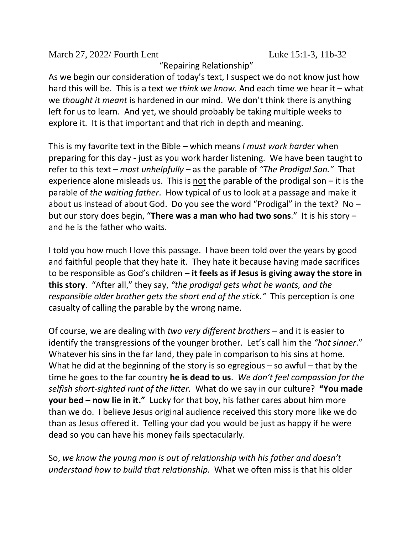March 27, 2022/ Fourth Lent Luke 15:1-3, 11b-32

"Repairing Relationship"

As we begin our consideration of today's text, I suspect we do not know just how hard this will be. This is a text *we think we know.* And each time we hear it – what we *thought it meant* is hardened in our mind. We don't think there is anything left for us to learn. And yet, we should probably be taking multiple weeks to explore it. It is that important and that rich in depth and meaning.

This is my favorite text in the Bible – which means *I must work harder* when preparing for this day - just as you work harder listening. We have been taught to refer to this text – *most unhelpfully* – as the parable of *"The Prodigal Son."* That experience alone misleads us. This is not the parable of the prodigal son – it is the parable of *the waiting father*. How typical of us to look at a passage and make it about us instead of about God. Do you see the word "Prodigal" in the text? No – but our story does begin, "**There was a man who had two sons**." It is his story – and he is the father who waits.

I told you how much I love this passage. I have been told over the years by good and faithful people that they hate it. They hate it because having made sacrifices to be responsible as God's children **– it feels as if Jesus is giving away the store in this story**. "After all," they say, *"the prodigal gets what he wants, and the responsible older brother gets the short end of the stick."* This perception is one casualty of calling the parable by the wrong name.

Of course, we are dealing with *two very different brothers* – and it is easier to identify the transgressions of the younger brother. Let's call him the *"hot sinner*." Whatever his sins in the far land, they pale in comparison to his sins at home. What he did at the beginning of the story is so egregious – so awful – that by the time he goes to the far country **he is dead to us**. *We don't feel compassion for the selfish short-sighted runt of the litter.* What do we say in our culture? **"You made your bed – now lie in it."** Lucky for that boy, his father cares about him more than we do. I believe Jesus original audience received this story more like we do than as Jesus offered it. Telling your dad you would be just as happy if he were dead so you can have his money fails spectacularly.

So, *we know the young man is out of relationship with his father and doesn't understand how to build that relationship.* What we often miss is that his older